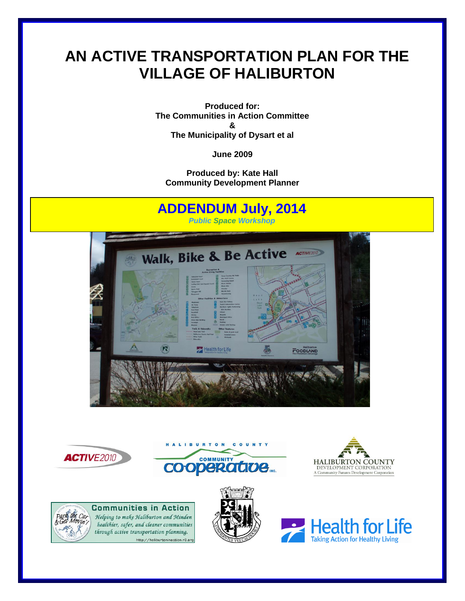# **AN ACTIVE TRANSPORTATION PLAN FOR THE VILLAGE OF HALIBURTON**

**Produced for: The Communities in Action Committee & The Municipality of Dysart et al**

**June 2009**

**Produced by: Kate Hall Community Development Planner**

# **ADDENDUM July, 2014** *Public Space Workshop*Walk, Bike & Be Active ACTIVE2010  $\boldsymbol{\Sigma}$ Health for Life **FOODLAND**







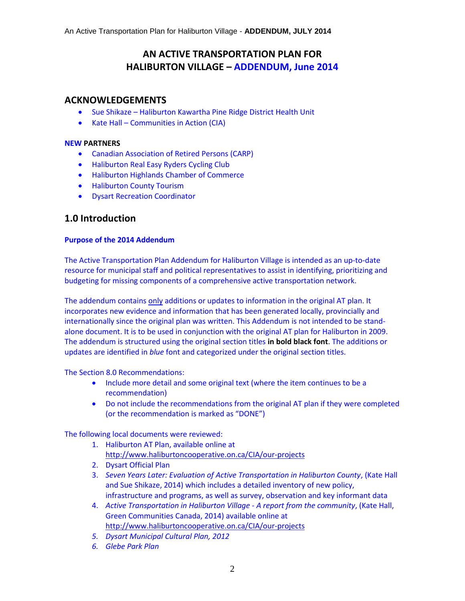# **AN ACTIVE TRANSPORTATION PLAN FOR HALIBURTON VILLAGE – ADDENDUM, June 2014**

### **ACKNOWLEDGEMENTS**

- Sue Shikaze Haliburton Kawartha Pine Ridge District Health Unit
- Kate Hall Communities in Action (CIA)

#### **NEW PARTNERS**

- Canadian Association of Retired Persons (CARP)
- Haliburton Real Easy Ryders Cycling Club
- Haliburton Highlands Chamber of Commerce
- **•** Haliburton County Tourism
- Dysart Recreation Coordinator

# **1.0 Introduction**

#### **Purpose of the 2014 Addendum**

The Active Transportation Plan Addendum for Haliburton Village is intended as an up-to-date resource for municipal staff and political representatives to assist in identifying, prioritizing and budgeting for missing components of a comprehensive active transportation network.

The addendum contains only additions or updates to information in the original AT plan. It incorporates new evidence and information that has been generated locally, provincially and internationally since the original plan was written. This Addendum is not intended to be standalone document. It is to be used in conjunction with the original AT plan for Haliburton in 2009. The addendum is structured using the original section titles **in bold black font**. The additions or updates are identified in *blue* font and categorized under the original section titles.

The Section 8.0 Recommendations:

- Include more detail and some original text (where the item continues to be a recommendation)
- Do not include the recommendations from the original AT plan if they were completed (or the recommendation is marked as "DONE")

The following local documents were reviewed:

- 1. Haliburton AT Plan, available online at <http://www.haliburtoncooperative.on.ca/CIA/our-projects>
- 2. Dysart Official Plan
- 3. *Seven Years Later: Evaluation of Active Transportation in Haliburton County*, (Kate Hall and Sue Shikaze, 2014) which includes a detailed inventory of new policy, infrastructure and programs, as well as survey, observation and key informant data
- 4. *Active Transportation in Haliburton Village - A report from the community*, (Kate Hall, Green Communities Canada, 2014) available online at <http://www.haliburtoncooperative.on.ca/CIA/our-projects>
- *5. Dysart Municipal Cultural Plan, 2012*
- *6. Glebe Park Plan*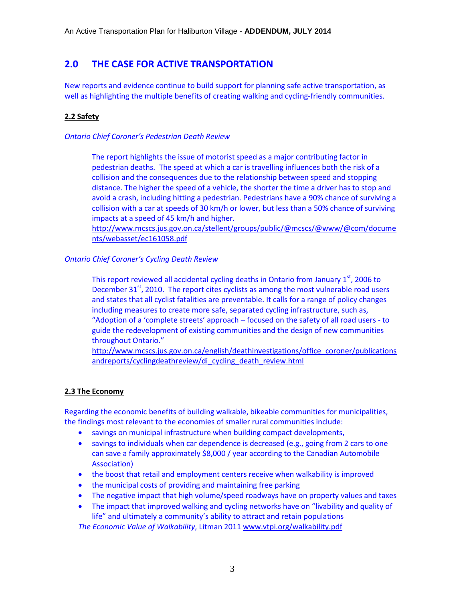# **2.0 THE CASE FOR ACTIVE TRANSPORTATION**

New reports and evidence continue to build support for planning safe active transportation, as well as highlighting the multiple benefits of creating walking and cycling-friendly communities.

#### **2.2 Safety**

#### *Ontario Chief Coroner's Pedestrian Death Review*

The report highlights the issue of motorist speed as a major contributing factor in pedestrian deaths. The speed at which a car is travelling influences both the risk of a collision and the consequences due to the relationship between speed and stopping distance. The higher the speed of a vehicle, the shorter the time a driver has to stop and avoid a crash, including hitting a pedestrian. Pedestrians have a 90% chance of surviving a collision with a car at speeds of 30 km/h or lower, but less than a 50% chance of surviving impacts at a speed of 45 km/h and higher.

[http://www.mcscs.jus.gov.on.ca/stellent/groups/public/@mcscs/@www/@com/docume](http://www.mcscs.jus.gov.on.ca/stellent/groups/public/@mcscs/@www/@com/documents/webasset/ec161058.pdf) [nts/webasset/ec161058.pdf](http://www.mcscs.jus.gov.on.ca/stellent/groups/public/@mcscs/@www/@com/documents/webasset/ec161058.pdf)

#### *Ontario Chief Coroner's Cycling Death Review*

This report reviewed all accidental cycling deaths in Ontario from January  $1<sup>st</sup>$ , 2006 to December  $31<sup>st</sup>$ , 2010. The report cites cyclists as among the most vulnerable road users and states that all cyclist fatalities are preventable. It calls for a range of policy changes including measures to create more safe, separated cycling infrastructure, such as, "Adoption of a 'complete streets' approach – focused on the safety of all road users - to guide the redevelopment of existing communities and the design of new communities throughout Ontario."

[http://www.mcscs.jus.gov.on.ca/english/deathinvestigations/office\\_coroner/publications](http://www.mcscs.jus.gov.on.ca/english/deathinvestigations/office_coroner/publicationsandreports/cyclingdeathreview/di_cycling_death_review.html) [andreports/cyclingdeathreview/di\\_cycling\\_death\\_review.html](http://www.mcscs.jus.gov.on.ca/english/deathinvestigations/office_coroner/publicationsandreports/cyclingdeathreview/di_cycling_death_review.html)

#### **2.3 The Economy**

Regarding the economic benefits of building walkable, bikeable communities for municipalities, the findings most relevant to the economies of smaller rural communities include:

- savings on municipal infrastructure when building compact developments,
- savings to individuals when car dependence is decreased (e.g., going from 2 cars to one can save a family approximately \$8,000 / year according to the Canadian Automobile Association)
- the boost that retail and employment centers receive when walkability is improved
- the municipal costs of providing and maintaining free parking
- The negative impact that high volume/speed roadways have on property values and taxes
- The impact that improved walking and cycling networks have on "livability and quality of life" and ultimately a community's ability to attract and retain populations

*The Economic Value of Walkability*, Litman 2011 [www.vtpi.org/walkability.pdf](http://www.vtpi.org/walkability.pdf)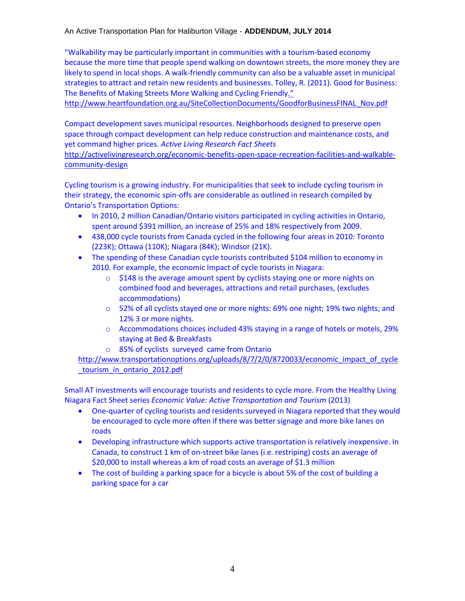"Walkability may be particularly important in communities with a tourism-based economy because the more time that people spend walking on downtown streets, the more money they are likely to spend in local shops. A walk-friendly community can also be a valuable asset in municipal strategies to attract and retain new residents and businesses. Tolley, R. (2011). Good for Business: The Benefits of Making Streets More Walking and Cycling Friendly."

[http://www.heartfoundation.org.au/SiteCollectionDocuments/GoodforBusinessFINAL\\_Nov.pdf](http://www.heartfoundation.org.au/SiteCollectionDocuments/GoodforBusinessFINAL_Nov.pdf)

Compact development saves municipal resources. Neighborhoods designed to preserve open space through compact development can help reduce construction and maintenance costs, and yet command higher prices. *Active Living Research Fact Sheets* 

[http://activelivingresearch.org/economic-benefits-open-space-recreation-facilities-and-walkable](http://activelivingresearch.org/economic-benefits-open-space-recreation-facilities-and-walkable-community-design)[community-design](http://activelivingresearch.org/economic-benefits-open-space-recreation-facilities-and-walkable-community-design)

Cycling tourism is a growing industry. For municipalities that seek to include cycling tourism in their strategy, the economic spin-offs are considerable as outlined in research compiled by Ontario's Transportation Options:

- In 2010, 2 million Canadian/Ontario visitors participated in cycling activities in Ontario, spent around \$391 million, an increase of 25% and 18% respectively from 2009.
- 438,000 cycle tourists from Canada cycled in the following four areas in 2010: Toronto (223K); Ottawa (110K); Niagara (84K); Windsor (21K).
- The spending of these Canadian cycle tourists contributed \$104 million to economy in 2010. For example, the economic Impact of cycle tourists in Niagara:
	- o \$148 is the average amount spent by cyclists staying one or more nights on combined food and beverages, attractions and retail purchases, (excludes accommodations)
	- o 52% of all cyclists stayed one or more nights: 69% one night; 19% two nights; and 12% 3 or more nights.
	- $\circ$  Accommodations choices included 43% staying in a range of hotels or motels, 29% staying at Bed & Breakfasts
	- o 85% of cyclists surveyed came from Ontario

[http://www.transportationoptions.org/uploads/8/7/2/0/8720033/economic\\_impact\\_of\\_cycle](http://www.transportationoptions.org/uploads/8/7/2/0/8720033/economic_impact_of_cycle_tourism_in_ontario_2012.pdf) [\\_tourism\\_in\\_ontario\\_2012.pdf](http://www.transportationoptions.org/uploads/8/7/2/0/8720033/economic_impact_of_cycle_tourism_in_ontario_2012.pdf)

Small AT investments will encourage tourists and residents to cycle more. From the Healthy Living Niagara Fact Sheet series *Economic Value: Active Transportation and Tourism* (2013)

- One-quarter of cycling tourists and residents surveyed in Niagara reported that they would be encouraged to cycle more often if there was better signage and more bike lanes on roads
- Developing infrastructure which supports active transportation is relatively inexpensive. In Canada, to construct 1 km of on-street bike lanes (i.e. restriping) costs an average of \$20,000 to install whereas a km of road costs an average of \$1.3 million
- The cost of building a parking space for a bicycle is about 5% of the cost of building a parking space for a car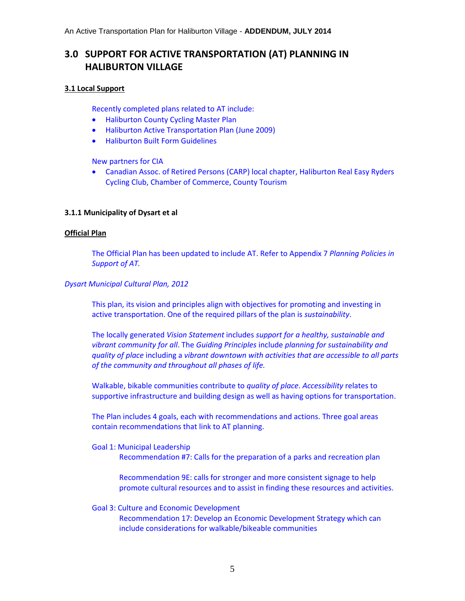# **3.0 SUPPORT FOR ACTIVE TRANSPORTATION (AT) PLANNING IN HALIBURTON VILLAGE**

#### **3.1 Local Support**

Recently completed plans related to AT include:

- Haliburton County Cycling Master Plan
- Haliburton Active Transportation Plan (June 2009)
- Haliburton Built Form Guidelines

New partners for CIA

 Canadian Assoc. of Retired Persons (CARP) local chapter, Haliburton Real Easy Ryders Cycling Club, Chamber of Commerce, County Tourism

#### **3.1.1 Municipality of Dysart et al**

#### **Official Plan**

The Official Plan has been updated to include AT. Refer to Appendix 7 *Planning Policies in Support of AT.*

#### *Dysart Municipal Cultural Plan, 2012*

This plan, its vision and principles align with objectives for promoting and investing in active transportation. One of the required pillars of the plan is *sustainability*.

The locally generated *Vision Statement* includes *support for a healthy, sustainable and vibrant community for all*. The *Guiding Principles* include *planning for sustainability and quality of place* including a *vibrant downtown with activities that are accessible to all parts of the community and throughout all phases of life.*

Walkable, bikable communities contribute to *quality of place*. *Accessibility* relates to supportive infrastructure and building design as well as having options for transportation.

The Plan includes 4 goals, each with recommendations and actions. Three goal areas contain recommendations that link to AT planning.

Goal 1: Municipal Leadership Recommendation #7: Calls for the preparation of a parks and recreation plan

> Recommendation 9E: calls for stronger and more consistent signage to help promote cultural resources and to assist in finding these resources and activities.

#### Goal 3: Culture and Economic Development

Recommendation 17: Develop an Economic Development Strategy which can include considerations for walkable/bikeable communities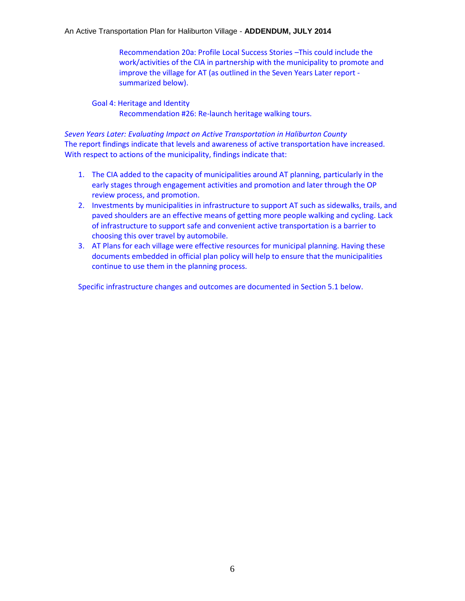Recommendation 20a: Profile Local Success Stories –This could include the work/activities of the CIA in partnership with the municipality to promote and improve the village for AT (as outlined in the Seven Years Later report summarized below).

Goal 4: Heritage and Identity Recommendation #26: Re-launch heritage walking tours.

*Seven Years Later: Evaluating Impact on Active Transportation in Haliburton County* The report findings indicate that levels and awareness of active transportation have increased. With respect to actions of the municipality, findings indicate that:

- 1. The CIA added to the capacity of municipalities around AT planning, particularly in the early stages through engagement activities and promotion and later through the OP review process, and promotion.
- 2. Investments by municipalities in infrastructure to support AT such as sidewalks, trails, and paved shoulders are an effective means of getting more people walking and cycling. Lack of infrastructure to support safe and convenient active transportation is a barrier to choosing this over travel by automobile.
- 3. AT Plans for each village were effective resources for municipal planning. Having these documents embedded in official plan policy will help to ensure that the municipalities continue to use them in the planning process.

Specific infrastructure changes and outcomes are documented in Section 5.1 below.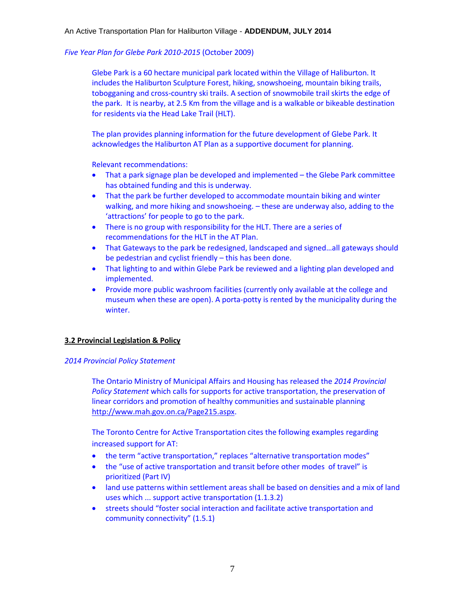#### *Five Year Plan for Glebe Park 2010-2015* (October 2009)

Glebe Park is a 60 hectare municipal park located within the Village of Haliburton. It includes the Haliburton Sculpture Forest, hiking, snowshoeing, mountain biking trails, tobogganing and cross-country ski trails. A section of snowmobile trail skirts the edge of the park. It is nearby, at 2.5 Km from the village and is a walkable or bikeable destination for residents via the Head Lake Trail (HLT).

The plan provides planning information for the future development of Glebe Park. It acknowledges the Haliburton AT Plan as a supportive document for planning.

Relevant recommendations:

- That a park signage plan be developed and implemented the Glebe Park committee has obtained funding and this is underway.
- That the park be further developed to accommodate mountain biking and winter walking, and more hiking and snowshoeing. – these are underway also, adding to the 'attractions' for people to go to the park.
- There is no group with responsibility for the HLT. There are a series of recommendations for the HLT in the AT Plan.
- That Gateways to the park be redesigned, landscaped and signed…all gateways should be pedestrian and cyclist friendly – this has been done.
- That lighting to and within Glebe Park be reviewed and a lighting plan developed and implemented.
- Provide more public washroom facilities (currently only available at the college and museum when these are open). A porta-potty is rented by the municipality during the winter.

#### **3.2 Provincial Legislation & Policy**

#### *2014 Provincial Policy Statement*

The Ontario Ministry of Municipal Affairs and Housing has released the *2014 Provincial Policy Statement* which calls for supports for active transportation, the preservation of linear corridors and promotion of healthy communities and sustainable planning [http://www.mah.gov.on.ca/Page215.aspx.](http://www.mah.gov.on.ca/Page215.aspx)

The Toronto Centre for Active Transportation cites the following examples regarding increased support for AT:

- the term "active transportation," replaces "alternative transportation modes"
- the "use of active transportation and transit before other modes of travel" is prioritized (Part IV)
- land use patterns within settlement areas shall be based on densities and a mix of land uses which ... support active transportation (1.1.3.2)
- streets should "foster social interaction and facilitate active transportation and community connectivity" (1.5.1)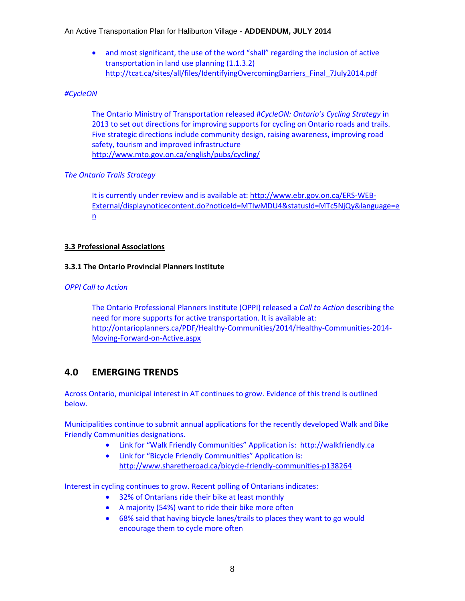and most significant, the use of the word "shall" regarding the inclusion of active transportation in land use planning (1.1.3.2) [http://tcat.ca/sites/all/files/IdentifyingOvercomingBarriers\\_Final\\_7July2014.pdf](http://tcat.ca/sites/all/files/IdentifyingOvercomingBarriers_Final_7July2014.pdf)

#### *#CycleON*

The Ontario Ministry of Transportation released #*CycleON: Ontario's Cycling Strategy* in 2013 to set out directions for improving supports for cycling on Ontario roads and trails. Five strategic directions include community design, raising awareness, improving road safety, tourism and improved infrastructure <http://www.mto.gov.on.ca/english/pubs/cycling/>

#### *The Ontario Trails Strategy*

It is currently under review and is available at: [http://www.ebr.gov.on.ca/ERS-WEB-](http://www.ebr.gov.on.ca/ERS-WEB-External/displaynoticecontent.do?noticeId=MTIwMDU4&statusId=MTc5NjQy&language=en)[External/displaynoticecontent.do?noticeId=MTIwMDU4&statusId=MTc5NjQy&language=e](http://www.ebr.gov.on.ca/ERS-WEB-External/displaynoticecontent.do?noticeId=MTIwMDU4&statusId=MTc5NjQy&language=en)  $n$ 

#### **3.3 Professional Associations**

#### **3.3.1 The Ontario Provincial Planners Institute**

#### *OPPI Call to Action*

The Ontario Professional Planners Institute (OPPI) released a *Call to Action* describing the need for more supports for active transportation. It is available at: [http://ontarioplanners.ca/PDF/Healthy-Communities/2014/Healthy-Communities-2014-](http://ontarioplanners.ca/PDF/Healthy-Communities/2014/Healthy-Communities-2014-Moving-Forward-on-Active.aspx) [Moving-Forward-on-Active.aspx](http://ontarioplanners.ca/PDF/Healthy-Communities/2014/Healthy-Communities-2014-Moving-Forward-on-Active.aspx)

## **4.0 EMERGING TRENDS**

Across Ontario, municipal interest in AT continues to grow. Evidence of this trend is outlined below.

Municipalities continue to submit annual applications for the recently developed Walk and Bike Friendly Communities designations.

- Link for "Walk Friendly Communities" Application is: [http://walkfriendly.ca](http://walkfriendly.ca/)
- Link for "Bicycle Friendly Communities" Application is: <http://www.sharetheroad.ca/bicycle-friendly-communities-p138264>

Interest in cycling continues to grow. Recent polling of Ontarians indicates:

- 32% of Ontarians ride their bike at least monthly
- A majority (54%) want to ride their bike more often
- 68% said that having bicycle lanes/trails to places they want to go would encourage them to cycle more often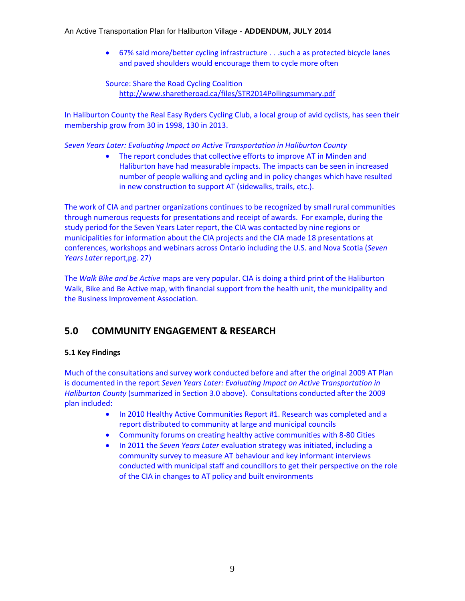67% said more/better cycling infrastructure . . .such a as protected bicycle lanes and paved shoulders would encourage them to cycle more often

Source: Share the Road Cycling Coalition <http://www.sharetheroad.ca/files/STR2014Pollingsummary.pdf>

In Haliburton County the Real Easy Ryders Cycling Club, a local group of avid cyclists, has seen their membership grow from 30 in 1998, 130 in 2013.

*Seven Years Later: Evaluating Impact on Active Transportation in Haliburton County* 

 The report concludes that collective efforts to improve AT in Minden and Haliburton have had measurable impacts. The impacts can be seen in increased number of people walking and cycling and in policy changes which have resulted in new construction to support AT (sidewalks, trails, etc.).

The work of CIA and partner organizations continues to be recognized by small rural communities through numerous requests for presentations and receipt of awards. For example, during the study period for the Seven Years Later report, the CIA was contacted by nine regions or municipalities for information about the CIA projects and the CIA made 18 presentations at conferences, workshops and webinars across Ontario including the U.S. and Nova Scotia (*Seven Years Later* report,pg. 27)

The *Walk Bike and be Active* maps are very popular. CIA is doing a third print of the Haliburton Walk, Bike and Be Active map, with financial support from the health unit, the municipality and the Business Improvement Association.

# **5.0 COMMUNITY ENGAGEMENT & RESEARCH**

#### **5.1 Key Findings**

Much of the consultations and survey work conducted before and after the original 2009 AT Plan is documented in the report *Seven Years Later: Evaluating Impact on Active Transportation in Haliburton County* (summarized in Section 3.0 above). Consultations conducted after the 2009 plan included:

- In 2010 Healthy Active Communities Report #1. Research was completed and a report distributed to community at large and municipal councils
- Community forums on creating healthy active communities with 8-80 Cities
- In 2011 the *Seven Years Later* evaluation strategy was initiated, including a community survey to measure AT behaviour and key informant interviews conducted with municipal staff and councillors to get their perspective on the role of the CIA in changes to AT policy and built environments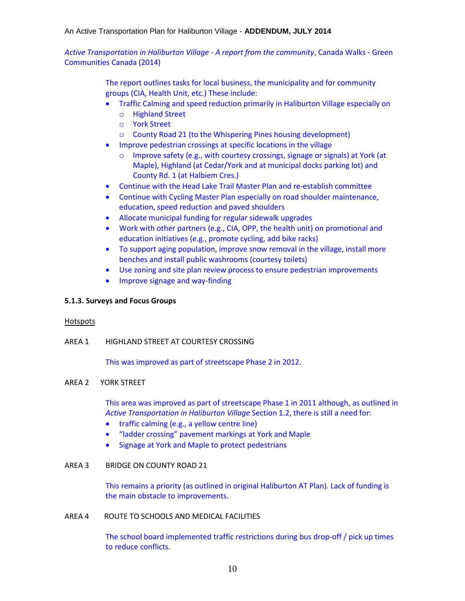*Active Transportation in Haliburton Village - A report from the community*, Canada Walks - Green Communities Canada (2014)

> The report outlines tasks for local business, the municipality and for community groups (CIA, Health Unit, etc.) These include:

- Traffic Calming and speed reduction primarily in Haliburton Village especially on
	- o Highland Street
	- o York Street
	- o County Road 21 (to the Whispering Pines housing development)
- Improve pedestrian crossings at specific locations in the village
	- o Improve safety (e.g., with courtesy crossings, signage or signals) at York (at Maple), Highland (at Cedar/York and at municipal docks parking lot) and County Rd. 1 (at Halbiem Cres.)
- Continue with the Head Lake Trail Master Plan and re-establish committee
- Continue with Cycling Master Plan especially on road shoulder maintenance, education, speed reduction and paved shoulders
- Allocate municipal funding for regular sidewalk upgrades
- Work with other partners (e.g., CIA, OPP, the health unit) on promotional and education initiatives (e.g., promote cycling, add bike racks)
- To support aging population, improve snow removal in the village, install more benches and install public washrooms (courtesy toilets)
- Use zoning and site plan review process to ensure pedestrian improvements
- Improve signage and way-finding

#### **5.1.3. Surveys and Focus Groups**

#### Hotspots

AREA 1 HIGHLAND STREET AT COURTESY CROSSING

This was improved as part of streetscape Phase 2 in 2012.

#### AREA 2 YORK STREET

This area was improved as part of streetscape Phase 1 in 2011 although, as outlined in *Active Transportation in Haliburton Village* Section 1.2, there is still a need for:

- traffic calming (e.g., a yellow centre line)
- "ladder crossing" pavement markings at York and Maple
- Signage at York and Maple to protect pedestrians

#### AREA 3 BRIDGE ON COUNTY ROAD 21

This remains a priority (as outlined in original Haliburton AT Plan). Lack of funding is the main obstacle to improvements.

#### AREA 4 ROUTE TO SCHOOLS AND MEDICAL FACILITIES

The school board implemented traffic restrictions during bus drop-off / pick up times to reduce conflicts.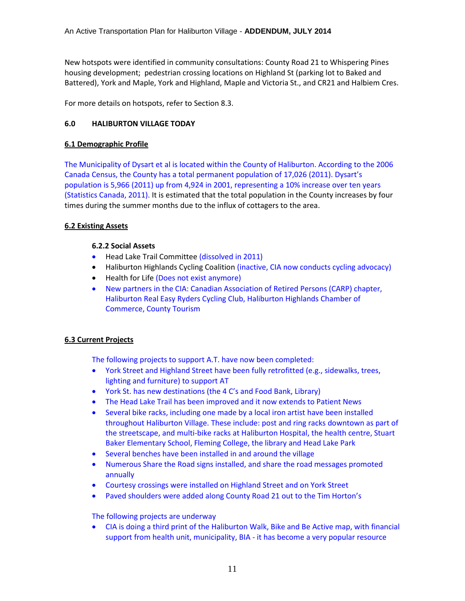New hotspots were identified in community consultations: County Road 21 to Whispering Pines housing development; pedestrian crossing locations on Highland St (parking lot to Baked and Battered), York and Maple, York and Highland, Maple and Victoria St., and CR21 and Halbiem Cres.

For more details on hotspots, refer to Section 8.3.

#### **6.0 HALIBURTON VILLAGE TODAY**

#### **6.1 Demographic Profile**

The Municipality of Dysart et al is located within the County of Haliburton. According to the 2006 Canada Census, the County has a total permanent population of 17,026 (2011). Dysart's population is 5,966 (2011) up from 4,924 in 2001, representing a 10% increase over ten years (Statistics Canada, 2011). It is estimated that the total population in the County increases by four times during the summer months due to the influx of cottagers to the area.

#### **6.2 Existing Assets**

#### **6.2.2 Social Assets**

- Head Lake Trail Committee (dissolved in 2011)
- Haliburton Highlands Cycling Coalition (inactive, CIA now conducts cycling advocacy)
- Health for Life (Does not exist anymore)
- New partners in the CIA: Canadian Association of Retired Persons (CARP) chapter, Haliburton Real Easy Ryders Cycling Club, Haliburton Highlands Chamber of Commerce, County Tourism

#### **6.3 Current Projects**

The following projects to support A.T. have now been completed:

- York Street and Highland Street have been fully retrofitted (e.g., sidewalks, trees, lighting and furniture) to support AT
- York St. has new destinations (the 4 C's and Food Bank, Library)
- The Head Lake Trail has been improved and it now extends to Patient News
- Several bike racks, including one made by a local iron artist have been installed throughout Haliburton Village. These include: post and ring racks downtown as part of the streetscape, and multi-bike racks at Haliburton Hospital, the health centre, Stuart Baker Elementary School, Fleming College, the library and Head Lake Park
- Several benches have been installed in and around the village
- Numerous Share the Road signs installed, and share the road messages promoted annually
- Courtesy crossings were installed on Highland Street and on York Street
- Paved shoulders were added along County Road 21 out to the Tim Horton's

The following projects are underway

 CIA is doing a third print of the Haliburton Walk, Bike and Be Active map, with financial support from health unit, municipality, BIA - it has become a very popular resource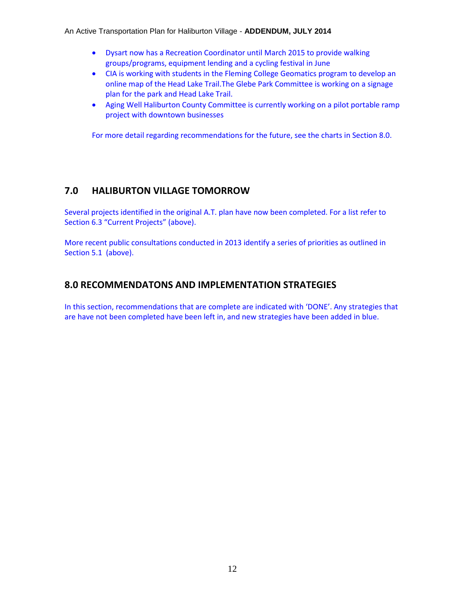- Dysart now has a Recreation Coordinator until March 2015 to provide walking groups/programs, equipment lending and a cycling festival in June
- CIA is working with students in the Fleming College Geomatics program to develop an online map of the Head Lake Trail.The Glebe Park Committee is working on a signage plan for the park and Head Lake Trail.
- Aging Well Haliburton County Committee is currently working on a pilot portable ramp project with downtown businesses

For more detail regarding recommendations for the future, see the charts in Section 8.0.

# **7.0 HALIBURTON VILLAGE TOMORROW**

Several projects identified in the original A.T. plan have now been completed. For a list refer to Section 6.3 "Current Projects" (above).

More recent public consultations conducted in 2013 identify a series of priorities as outlined in Section 5.1 (above).

# **8.0 RECOMMENDATONS AND IMPLEMENTATION STRATEGIES**

In this section, recommendations that are complete are indicated with 'DONE'. Any strategies that are have not been completed have been left in, and new strategies have been added in blue.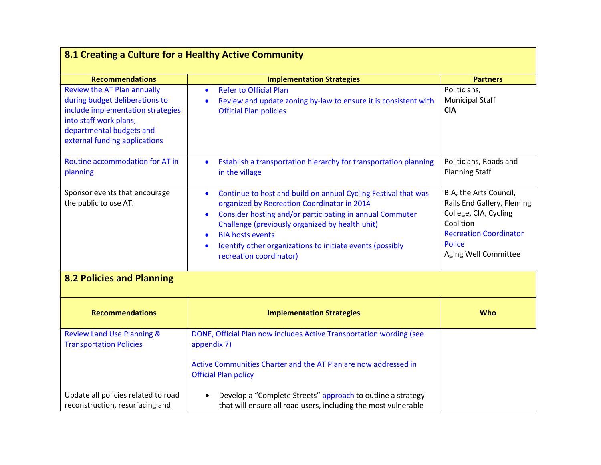| <b>Recommendations</b><br>Review the AT Plan annually<br>during budget deliberations to<br>include implementation strategies<br>into staff work plans,<br>departmental budgets and<br>external funding applications | <b>Implementation Strategies</b><br><b>Refer to Official Plan</b><br>$\bullet$<br>Review and update zoning by-law to ensure it is consistent with<br>$\bullet$<br><b>Official Plan policies</b>                                                                                                                                                                           | <b>Partners</b><br>Politicians,<br><b>Municipal Staff</b><br><b>CIA</b>                                                                                              |
|---------------------------------------------------------------------------------------------------------------------------------------------------------------------------------------------------------------------|---------------------------------------------------------------------------------------------------------------------------------------------------------------------------------------------------------------------------------------------------------------------------------------------------------------------------------------------------------------------------|----------------------------------------------------------------------------------------------------------------------------------------------------------------------|
| Routine accommodation for AT in<br>planning                                                                                                                                                                         | Establish a transportation hierarchy for transportation planning<br>$\bullet$<br>in the village                                                                                                                                                                                                                                                                           | Politicians, Roads and<br><b>Planning Staff</b>                                                                                                                      |
| Sponsor events that encourage<br>the public to use AT.                                                                                                                                                              | Continue to host and build on annual Cycling Festival that was<br>$\bullet$<br>organized by Recreation Coordinator in 2014<br>Consider hosting and/or participating in annual Commuter<br>$\bullet$<br>Challenge (previously organized by health unit)<br><b>BIA hosts events</b><br>Identify other organizations to initiate events (possibly<br>recreation coordinator) | BIA, the Arts Council,<br>Rails End Gallery, Fleming<br>College, CIA, Cycling<br>Coalition<br><b>Recreation Coordinator</b><br><b>Police</b><br>Aging Well Committee |
| <b>8.2 Policies and Planning</b>                                                                                                                                                                                    |                                                                                                                                                                                                                                                                                                                                                                           |                                                                                                                                                                      |
| <b>Recommendations</b>                                                                                                                                                                                              | <b>Implementation Strategies</b>                                                                                                                                                                                                                                                                                                                                          | <b>Who</b>                                                                                                                                                           |
| <b>Review Land Use Planning &amp;</b><br><b>Transportation Policies</b>                                                                                                                                             | DONE, Official Plan now includes Active Transportation wording (see<br>appendix 7)<br>Active Communities Charter and the AT Plan are now addressed in<br><b>Official Plan policy</b>                                                                                                                                                                                      |                                                                                                                                                                      |
| Update all policies related to road<br>reconstruction, resurfacing and                                                                                                                                              | Develop a "Complete Streets" approach to outline a strategy<br>that will ensure all road users, including the most vulnerable                                                                                                                                                                                                                                             |                                                                                                                                                                      |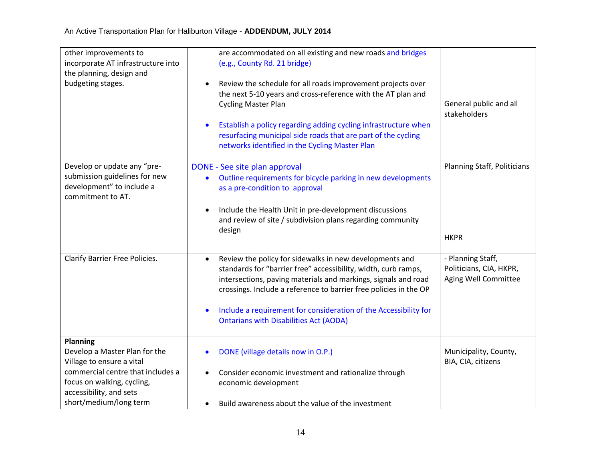| other improvements to<br>incorporate AT infrastructure into<br>the planning, design and<br>budgeting stages.                                                                                          | are accommodated on all existing and new roads and bridges<br>(e.g., County Rd. 21 bridge)<br>Review the schedule for all roads improvement projects over<br>$\bullet$<br>the next 5-10 years and cross-reference with the AT plan and<br><b>Cycling Master Plan</b><br>Establish a policy regarding adding cycling infrastructure when<br>resurfacing municipal side roads that are part of the cycling<br>networks identified in the Cycling Master Plan | General public and all<br>stakeholders                               |
|-------------------------------------------------------------------------------------------------------------------------------------------------------------------------------------------------------|------------------------------------------------------------------------------------------------------------------------------------------------------------------------------------------------------------------------------------------------------------------------------------------------------------------------------------------------------------------------------------------------------------------------------------------------------------|----------------------------------------------------------------------|
| Develop or update any "pre-<br>submission guidelines for new<br>development" to include a<br>commitment to AT.                                                                                        | DONE - See site plan approval<br>Outline requirements for bicycle parking in new developments<br>as a pre-condition to approval<br>Include the Health Unit in pre-development discussions<br>and review of site / subdivision plans regarding community<br>design                                                                                                                                                                                          | <b>Planning Staff, Politicians</b><br><b>HKPR</b>                    |
| Clarify Barrier Free Policies.                                                                                                                                                                        | Review the policy for sidewalks in new developments and<br>$\bullet$<br>standards for "barrier free" accessibility, width, curb ramps,<br>intersections, paving materials and markings, signals and road<br>crossings. Include a reference to barrier free policies in the OP<br>Include a requirement for consideration of the Accessibility for<br><b>Ontarians with Disabilities Act (AODA)</b>                                                         | - Planning Staff,<br>Politicians, CIA, HKPR,<br>Aging Well Committee |
| <b>Planning</b><br>Develop a Master Plan for the<br>Village to ensure a vital<br>commercial centre that includes a<br>focus on walking, cycling,<br>accessibility, and sets<br>short/medium/long term | DONE (village details now in O.P.)<br>Consider economic investment and rationalize through<br>economic development<br>Build awareness about the value of the investment                                                                                                                                                                                                                                                                                    | Municipality, County,<br>BIA, CIA, citizens                          |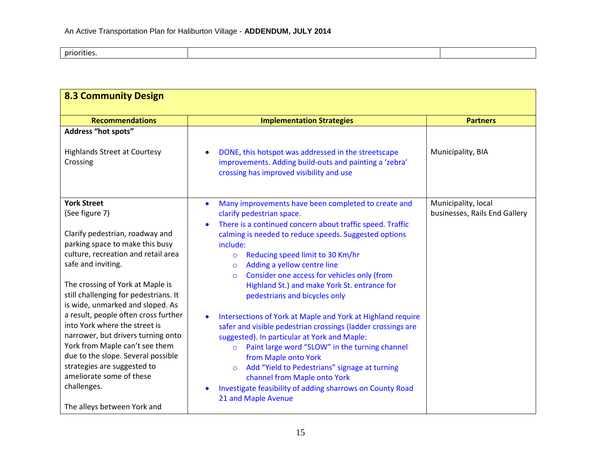priorities.

| <b>8.3 Community Design</b>                                                                                                                                                                                                                                                                                                                                                                                                                                                                                                                                                              |                                                                                                                                                                                                                                                                                                                                                                                                                                                                                                                                                                                                                                                                                                                                                                                                                                                                                                                                       |                                                      |
|------------------------------------------------------------------------------------------------------------------------------------------------------------------------------------------------------------------------------------------------------------------------------------------------------------------------------------------------------------------------------------------------------------------------------------------------------------------------------------------------------------------------------------------------------------------------------------------|---------------------------------------------------------------------------------------------------------------------------------------------------------------------------------------------------------------------------------------------------------------------------------------------------------------------------------------------------------------------------------------------------------------------------------------------------------------------------------------------------------------------------------------------------------------------------------------------------------------------------------------------------------------------------------------------------------------------------------------------------------------------------------------------------------------------------------------------------------------------------------------------------------------------------------------|------------------------------------------------------|
| <b>Recommendations</b>                                                                                                                                                                                                                                                                                                                                                                                                                                                                                                                                                                   | <b>Implementation Strategies</b>                                                                                                                                                                                                                                                                                                                                                                                                                                                                                                                                                                                                                                                                                                                                                                                                                                                                                                      | <b>Partners</b>                                      |
| <b>Address "hot spots"</b><br><b>Highlands Street at Courtesy</b><br>Crossing                                                                                                                                                                                                                                                                                                                                                                                                                                                                                                            | DONE, this hotspot was addressed in the streetscape<br>improvements. Adding build-outs and painting a 'zebra'<br>crossing has improved visibility and use                                                                                                                                                                                                                                                                                                                                                                                                                                                                                                                                                                                                                                                                                                                                                                             | Municipality, BIA                                    |
| <b>York Street</b><br>(See figure 7)<br>Clarify pedestrian, roadway and<br>parking space to make this busy<br>culture, recreation and retail area<br>safe and inviting.<br>The crossing of York at Maple is<br>still challenging for pedestrians. It<br>is wide, unmarked and sloped. As<br>a result, people often cross further<br>into York where the street is<br>narrower, but drivers turning onto<br>York from Maple can't see them<br>due to the slope. Several possible<br>strategies are suggested to<br>ameliorate some of these<br>challenges.<br>The alleys between York and | Many improvements have been completed to create and<br>$\bullet$<br>clarify pedestrian space.<br>There is a continued concern about traffic speed. Traffic<br>calming is needed to reduce speeds. Suggested options<br>include:<br>Reducing speed limit to 30 Km/hr<br>$\circ$<br>Adding a yellow centre line<br>$\circ$<br>Consider one access for vehicles only (from<br>$\Omega$<br>Highland St.) and make York St. entrance for<br>pedestrians and bicycles only<br>Intersections of York at Maple and York at Highland require<br>$\bullet$<br>safer and visible pedestrian crossings (ladder crossings are<br>suggested). In particular at York and Maple:<br>Paint large word "SLOW" in the turning channel<br>$\circ$<br>from Maple onto York<br>Add "Yield to Pedestrians" signage at turning<br>$\circ$<br>channel from Maple onto York<br>Investigate feasibility of adding sharrows on County Road<br>21 and Maple Avenue | Municipality, local<br>businesses, Rails End Gallery |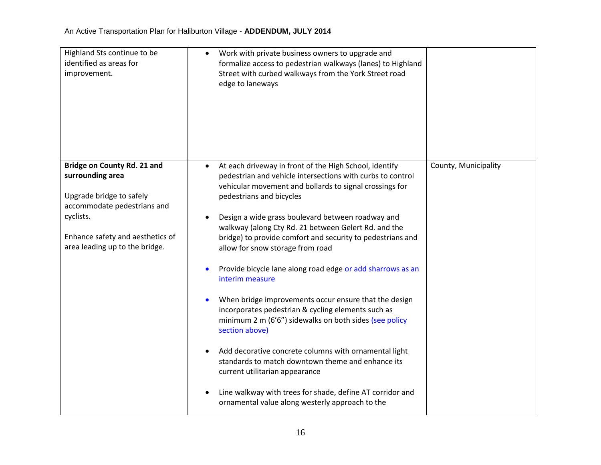| Highland Sts continue to be<br>identified as areas for<br>improvement.                                                                                                                        | Work with private business owners to upgrade and<br>formalize access to pedestrian walkways (lanes) to Highland<br>Street with curbed walkways from the York Street road<br>edge to laneways                                                                                                                                                                                                                                                                                                                                                                                                                                                                                                                                                                                                                                                                                                                                                                           |                      |
|-----------------------------------------------------------------------------------------------------------------------------------------------------------------------------------------------|------------------------------------------------------------------------------------------------------------------------------------------------------------------------------------------------------------------------------------------------------------------------------------------------------------------------------------------------------------------------------------------------------------------------------------------------------------------------------------------------------------------------------------------------------------------------------------------------------------------------------------------------------------------------------------------------------------------------------------------------------------------------------------------------------------------------------------------------------------------------------------------------------------------------------------------------------------------------|----------------------|
| Bridge on County Rd. 21 and<br>surrounding area<br>Upgrade bridge to safely<br>accommodate pedestrians and<br>cyclists.<br>Enhance safety and aesthetics of<br>area leading up to the bridge. | At each driveway in front of the High School, identify<br>pedestrian and vehicle intersections with curbs to control<br>vehicular movement and bollards to signal crossings for<br>pedestrians and bicycles<br>Design a wide grass boulevard between roadway and<br>walkway (along Cty Rd. 21 between Gelert Rd. and the<br>bridge) to provide comfort and security to pedestrians and<br>allow for snow storage from road<br>Provide bicycle lane along road edge or add sharrows as an<br>interim measure<br>When bridge improvements occur ensure that the design<br>incorporates pedestrian & cycling elements such as<br>minimum 2 m (6'6") sidewalks on both sides (see policy<br>section above)<br>Add decorative concrete columns with ornamental light<br>standards to match downtown theme and enhance its<br>current utilitarian appearance<br>Line walkway with trees for shade, define AT corridor and<br>ornamental value along westerly approach to the | County, Municipality |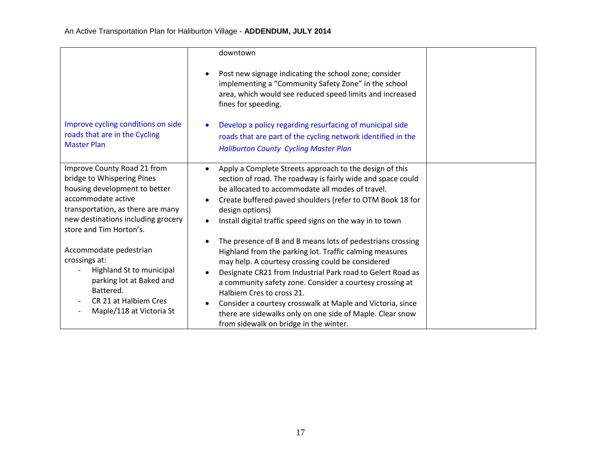|                                                                                                                                                                                                                        | downtown                                                                                                                                                                                                                                                                                                                                                                                                                                                                                               |  |
|------------------------------------------------------------------------------------------------------------------------------------------------------------------------------------------------------------------------|--------------------------------------------------------------------------------------------------------------------------------------------------------------------------------------------------------------------------------------------------------------------------------------------------------------------------------------------------------------------------------------------------------------------------------------------------------------------------------------------------------|--|
|                                                                                                                                                                                                                        | Post new signage indicating the school zone; consider<br>implementing a "Community Safety Zone" in the school<br>area, which would see reduced speed limits and increased<br>fines for speeding.                                                                                                                                                                                                                                                                                                       |  |
| Improve cycling conditions on side<br>roads that are in the Cycling<br><b>Master Plan</b>                                                                                                                              | Develop a policy regarding resurfacing of municipal side<br>roads that are part of the cycling network identified in the<br><b>Haliburton County Cycling Master Plan</b>                                                                                                                                                                                                                                                                                                                               |  |
| Improve County Road 21 from<br>bridge to Whispering Pines<br>housing development to better<br>accommodate active<br>transportation, as there are many<br>new destinations including grocery<br>store and Tim Horton's. | Apply a Complete Streets approach to the design of this<br>$\bullet$<br>section of road. The roadway is fairly wide and space could<br>be allocated to accommodate all modes of travel.<br>Create buffered paved shoulders (refer to OTM Book 18 for<br>design options)<br>Install digital traffic speed signs on the way in to town                                                                                                                                                                   |  |
| Accommodate pedestrian<br>crossings at:<br>Highland St to municipal<br>parking lot at Baked and<br>Battered.<br>CR 21 at Halbiem Cres<br>Maple/118 at Victoria St                                                      | The presence of B and B means lots of pedestrians crossing<br>Highland from the parking lot. Traffic calming measures<br>may help. A courtesy crossing could be considered<br>Designate CR21 from Industrial Park road to Gelert Road as<br>a community safety zone. Consider a courtesy crossing at<br>Halbiem Cres to cross 21.<br>Consider a courtesy crosswalk at Maple and Victoria, since<br>there are sidewalks only on one side of Maple. Clear snow<br>from sidewalk on bridge in the winter. |  |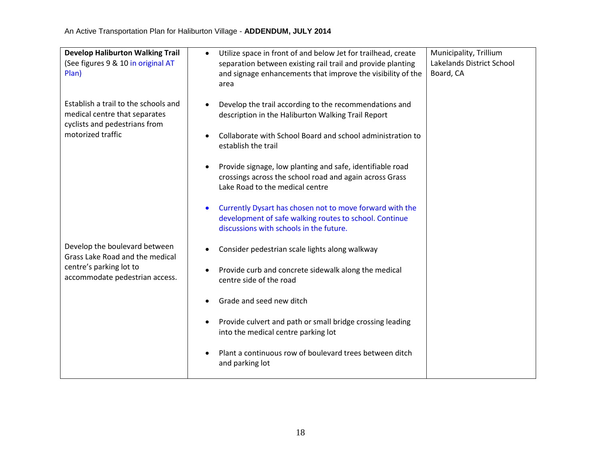| <b>Develop Haliburton Walking Trail</b><br>(See figures 9 & 10 in original AT<br>Plan)                 | Municipality, Trillium<br>Utilize space in front of and below Jet for trailhead, create<br>$\bullet$<br>Lakelands District School<br>separation between existing rail trail and provide planting<br>Board, CA<br>and signage enhancements that improve the visibility of the<br>area |  |
|--------------------------------------------------------------------------------------------------------|--------------------------------------------------------------------------------------------------------------------------------------------------------------------------------------------------------------------------------------------------------------------------------------|--|
| Establish a trail to the schools and<br>medical centre that separates<br>cyclists and pedestrians from | Develop the trail according to the recommendations and<br>description in the Haliburton Walking Trail Report                                                                                                                                                                         |  |
| motorized traffic                                                                                      | Collaborate with School Board and school administration to<br>establish the trail                                                                                                                                                                                                    |  |
|                                                                                                        | Provide signage, low planting and safe, identifiable road<br>crossings across the school road and again across Grass<br>Lake Road to the medical centre                                                                                                                              |  |
|                                                                                                        | Currently Dysart has chosen not to move forward with the<br>$\bullet$<br>development of safe walking routes to school. Continue<br>discussions with schools in the future.                                                                                                           |  |
| Develop the boulevard between<br>Grass Lake Road and the medical                                       | Consider pedestrian scale lights along walkway                                                                                                                                                                                                                                       |  |
| centre's parking lot to<br>accommodate pedestrian access.                                              | Provide curb and concrete sidewalk along the medical<br>$\bullet$<br>centre side of the road                                                                                                                                                                                         |  |
|                                                                                                        | Grade and seed new ditch                                                                                                                                                                                                                                                             |  |
|                                                                                                        | Provide culvert and path or small bridge crossing leading<br>$\bullet$<br>into the medical centre parking lot                                                                                                                                                                        |  |
|                                                                                                        | Plant a continuous row of boulevard trees between ditch<br>and parking lot                                                                                                                                                                                                           |  |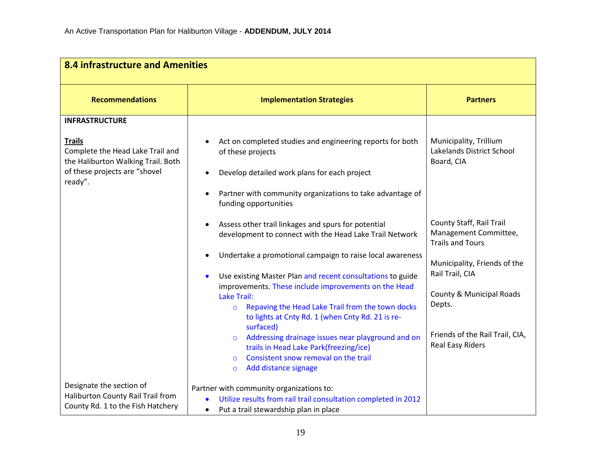| <b>8.4 infrastructure and Amenities</b>                                                                                                                      |                                                                                                                                                                                                                                                                                                                                                                                                                                                                                                                                                                                                                                                                                                                                                                                                                                                 |                                                                                                                                                                                                                                                                                                          |  |
|--------------------------------------------------------------------------------------------------------------------------------------------------------------|-------------------------------------------------------------------------------------------------------------------------------------------------------------------------------------------------------------------------------------------------------------------------------------------------------------------------------------------------------------------------------------------------------------------------------------------------------------------------------------------------------------------------------------------------------------------------------------------------------------------------------------------------------------------------------------------------------------------------------------------------------------------------------------------------------------------------------------------------|----------------------------------------------------------------------------------------------------------------------------------------------------------------------------------------------------------------------------------------------------------------------------------------------------------|--|
| <b>Recommendations</b>                                                                                                                                       | <b>Implementation Strategies</b>                                                                                                                                                                                                                                                                                                                                                                                                                                                                                                                                                                                                                                                                                                                                                                                                                | <b>Partners</b>                                                                                                                                                                                                                                                                                          |  |
| <b>INFRASTRUCTURE</b><br><b>Trails</b><br>Complete the Head Lake Trail and<br>the Haliburton Walking Trail. Both<br>of these projects are "shovel<br>ready". | Act on completed studies and engineering reports for both<br>of these projects<br>Develop detailed work plans for each project<br>Partner with community organizations to take advantage of<br>funding opportunities<br>Assess other trail linkages and spurs for potential<br>$\bullet$<br>development to connect with the Head Lake Trail Network<br>Undertake a promotional campaign to raise local awareness<br>Use existing Master Plan and recent consultations to guide<br>improvements. These include improvements on the Head<br><b>Lake Trail:</b><br>Repaving the Head Lake Trail from the town docks<br>$\circ$<br>to lights at Cnty Rd. 1 (when Cnty Rd. 21 is re-<br>surfaced)<br>Addressing drainage issues near playground and on<br>trails in Head Lake Park(freezing/ice)<br>Consistent snow removal on the trail<br>$\Omega$ | Municipality, Trillium<br>Lakelands District School<br>Board, CIA<br>County Staff, Rail Trail<br>Management Committee,<br><b>Trails and Tours</b><br>Municipality, Friends of the<br>Rail Trail, CIA<br>County & Municipal Roads<br>Depts.<br>Friends of the Rail Trail, CIA,<br><b>Real Easy Riders</b> |  |
| Designate the section of<br>Haliburton County Rail Trail from<br>County Rd. 1 to the Fish Hatchery                                                           | Add distance signage<br>$\circ$<br>Partner with community organizations to:<br>Utilize results from rail trail consultation completed in 2012<br>Put a trail stewardship plan in place<br>$\bullet$                                                                                                                                                                                                                                                                                                                                                                                                                                                                                                                                                                                                                                             |                                                                                                                                                                                                                                                                                                          |  |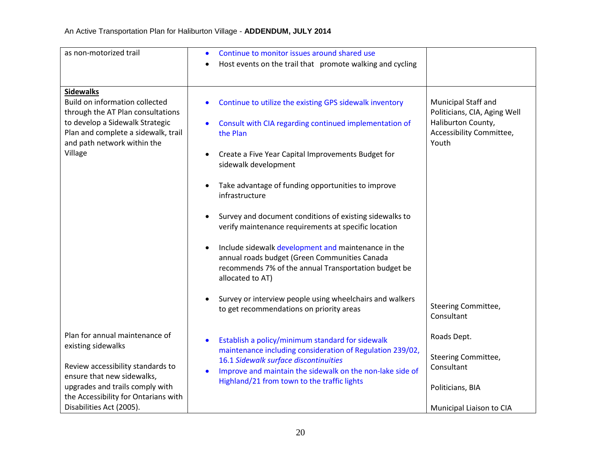| as non-motorized trail                                                                                                                                                                                                         | Continue to monitor issues around shared use                                                                                                                                                                                                                                                                                                                                                                                                                                                                                                                                                 |                                                                                                                |
|--------------------------------------------------------------------------------------------------------------------------------------------------------------------------------------------------------------------------------|----------------------------------------------------------------------------------------------------------------------------------------------------------------------------------------------------------------------------------------------------------------------------------------------------------------------------------------------------------------------------------------------------------------------------------------------------------------------------------------------------------------------------------------------------------------------------------------------|----------------------------------------------------------------------------------------------------------------|
|                                                                                                                                                                                                                                | Host events on the trail that promote walking and cycling                                                                                                                                                                                                                                                                                                                                                                                                                                                                                                                                    |                                                                                                                |
| <b>Sidewalks</b><br><b>Build on information collected</b><br>through the AT Plan consultations<br>to develop a Sidewalk Strategic<br>Plan and complete a sidewalk, trail<br>and path network within the<br>Village             | Continue to utilize the existing GPS sidewalk inventory<br>$\bullet$<br>Consult with CIA regarding continued implementation of<br>$\bullet$<br>the Plan<br>Create a Five Year Capital Improvements Budget for<br>$\bullet$<br>sidewalk development<br>Take advantage of funding opportunities to improve<br>$\bullet$<br>infrastructure<br>Survey and document conditions of existing sidewalks to<br>$\bullet$<br>verify maintenance requirements at specific location<br>Include sidewalk development and maintenance in the<br>$\bullet$<br>annual roads budget (Green Communities Canada | Municipal Staff and<br>Politicians, CIA, Aging Well<br>Haliburton County,<br>Accessibility Committee,<br>Youth |
|                                                                                                                                                                                                                                | recommends 7% of the annual Transportation budget be<br>allocated to AT)<br>Survey or interview people using wheelchairs and walkers<br>$\bullet$<br>to get recommendations on priority areas                                                                                                                                                                                                                                                                                                                                                                                                | Steering Committee,<br>Consultant                                                                              |
| Plan for annual maintenance of<br>existing sidewalks<br>Review accessibility standards to<br>ensure that new sidewalks,<br>upgrades and trails comply with<br>the Accessibility for Ontarians with<br>Disabilities Act (2005). | Establish a policy/minimum standard for sidewalk<br>$\bullet$<br>maintenance including consideration of Regulation 239/02,<br>16.1 Sidewalk surface discontinuities<br>Improve and maintain the sidewalk on the non-lake side of<br>$\bullet$<br>Highland/21 from town to the traffic lights                                                                                                                                                                                                                                                                                                 | Roads Dept.<br>Steering Committee,<br>Consultant<br>Politicians, BIA<br>Municipal Liaison to CIA               |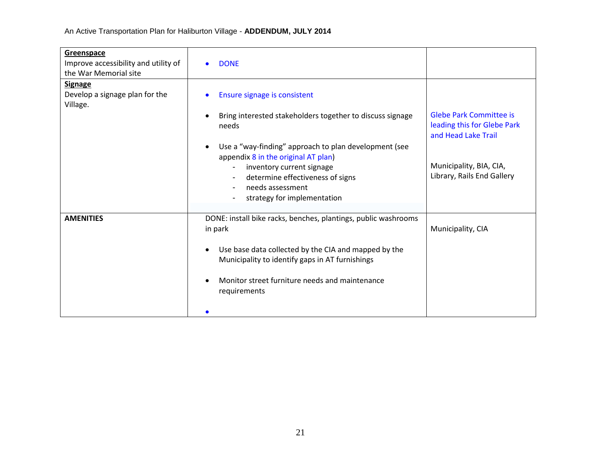| Greenspace<br>Improve accessibility and utility of<br>the War Memorial site | <b>DONE</b>                                                                                                                                                                                                                                                                                                                                                                                      |                                                                                                                                               |
|-----------------------------------------------------------------------------|--------------------------------------------------------------------------------------------------------------------------------------------------------------------------------------------------------------------------------------------------------------------------------------------------------------------------------------------------------------------------------------------------|-----------------------------------------------------------------------------------------------------------------------------------------------|
| <b>Signage</b><br>Develop a signage plan for the<br>Village.                | Ensure signage is consistent<br>Bring interested stakeholders together to discuss signage<br>needs<br>Use a "way-finding" approach to plan development (see<br>appendix 8 in the original AT plan)<br>inventory current signage<br>$\overline{\phantom{a}}$<br>determine effectiveness of signs<br>$\blacksquare$<br>needs assessment<br>$\overline{\phantom{a}}$<br>strategy for implementation | <b>Glebe Park Committee is</b><br>leading this for Glebe Park<br>and Head Lake Trail<br>Municipality, BIA, CIA,<br>Library, Rails End Gallery |
| <b>AMENITIES</b>                                                            | DONE: install bike racks, benches, plantings, public washrooms<br>in park<br>Use base data collected by the CIA and mapped by the<br>Municipality to identify gaps in AT furnishings<br>Monitor street furniture needs and maintenance<br>requirements                                                                                                                                           | Municipality, CIA                                                                                                                             |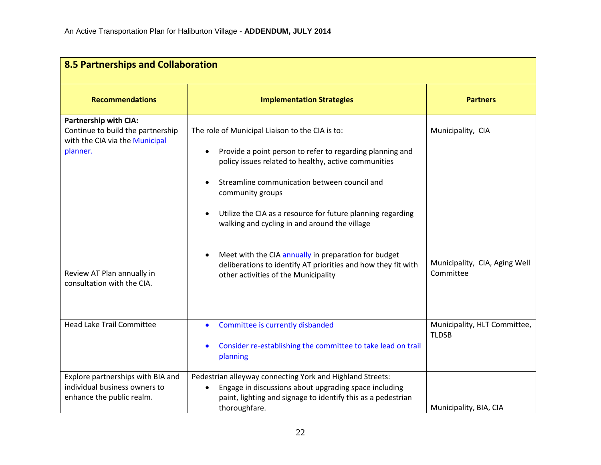| 8.5 Partnerships and Collaboration                                                                              |                                                                                                                                                                                                                                                                                                                                                          |                                              |
|-----------------------------------------------------------------------------------------------------------------|----------------------------------------------------------------------------------------------------------------------------------------------------------------------------------------------------------------------------------------------------------------------------------------------------------------------------------------------------------|----------------------------------------------|
| <b>Recommendations</b>                                                                                          | <b>Implementation Strategies</b>                                                                                                                                                                                                                                                                                                                         | <b>Partners</b>                              |
| <b>Partnership with CIA:</b><br>Continue to build the partnership<br>with the CIA via the Municipal<br>planner. | The role of Municipal Liaison to the CIA is to:<br>Provide a point person to refer to regarding planning and<br>policy issues related to healthy, active communities<br>Streamline communication between council and<br>community groups<br>Utilize the CIA as a resource for future planning regarding<br>walking and cycling in and around the village | Municipality, CIA                            |
| Review AT Plan annually in<br>consultation with the CIA.                                                        | Meet with the CIA annually in preparation for budget<br>deliberations to identify AT priorities and how they fit with<br>other activities of the Municipality                                                                                                                                                                                            | Municipality, CIA, Aging Well<br>Committee   |
| <b>Head Lake Trail Committee</b>                                                                                | Committee is currently disbanded<br>$\bullet$<br>Consider re-establishing the committee to take lead on trail<br>$\bullet$<br>planning                                                                                                                                                                                                                   | Municipality, HLT Committee,<br><b>TLDSB</b> |
| Explore partnerships with BIA and<br>individual business owners to<br>enhance the public realm.                 | Pedestrian alleyway connecting York and Highland Streets:<br>Engage in discussions about upgrading space including<br>paint, lighting and signage to identify this as a pedestrian<br>thoroughfare.                                                                                                                                                      | Municipality, BIA, CIA                       |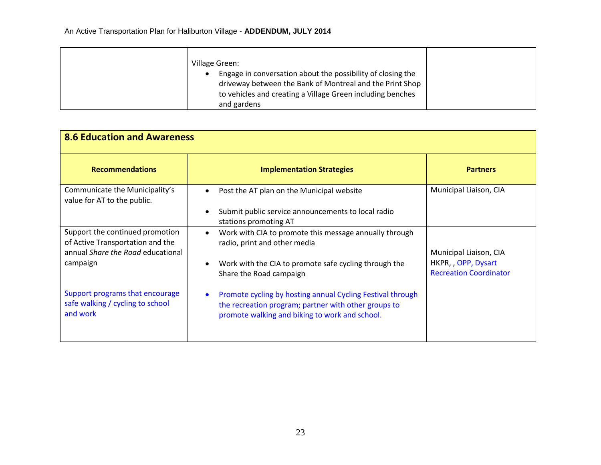| Village Green:                                                                                                                                                                        |  |
|---------------------------------------------------------------------------------------------------------------------------------------------------------------------------------------|--|
| Engage in conversation about the possibility of closing the<br>driveway between the Bank of Montreal and the Print Shop<br>to vehicles and creating a Village Green including benches |  |
| and gardens                                                                                                                                                                           |  |

| <b>8.6 Education and Awareness</b>                                                                                   |                                                                                                                                                                            |                                                                                |
|----------------------------------------------------------------------------------------------------------------------|----------------------------------------------------------------------------------------------------------------------------------------------------------------------------|--------------------------------------------------------------------------------|
| <b>Recommendations</b>                                                                                               | <b>Implementation Strategies</b>                                                                                                                                           | <b>Partners</b>                                                                |
| Communicate the Municipality's<br>value for AT to the public.                                                        | Post the AT plan on the Municipal website<br>Submit public service announcements to local radio                                                                            | Municipal Liaison, CIA                                                         |
|                                                                                                                      | stations promoting AT                                                                                                                                                      |                                                                                |
| Support the continued promotion<br>of Active Transportation and the<br>annual Share the Road educational<br>campaign | Work with CIA to promote this message annually through<br>radio, print and other media<br>Work with the CIA to promote safe cycling through the<br>Share the Road campaign | Municipal Liaison, CIA<br>HKPR, , OPP, Dysart<br><b>Recreation Coordinator</b> |
| Support programs that encourage<br>safe walking / cycling to school<br>and work                                      | Promote cycling by hosting annual Cycling Festival through<br>the recreation program; partner with other groups to<br>promote walking and biking to work and school.       |                                                                                |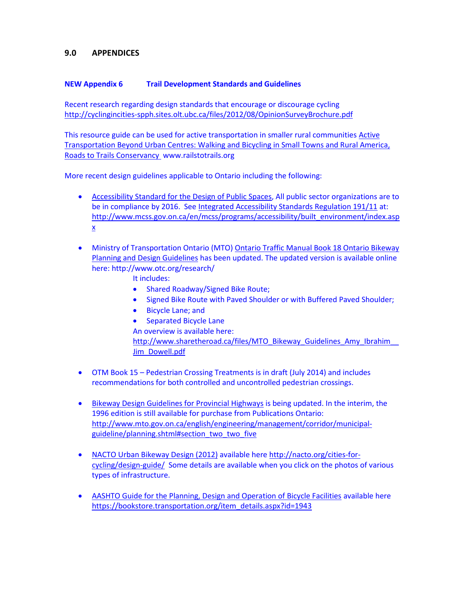#### **9.0 APPENDICES**

#### **NEW Appendix 6 Trail Development Standards and Guidelines**

Recent research regarding design standards that encourage or discourage cycling <http://cyclingincities-spph.sites.olt.ubc.ca/files/2012/08/OpinionSurveyBrochure.pdf>

This resource guide can be used for active transportation in smaller rural communities [Active](http://completestreetsforcanada.ca/resources/active-transportation-beyond-urban-centres-walking-and-bicycling-small-towns-and-rural) [Transportation](http://completestreetsforcanada.ca/resources/active-transportation-beyond-urban-centres-walking-and-bicycling-small-towns-and-rural) Beyond Urban Centres: Walking and Bicycling in Small Towns and Rural America, Roads to Trails [Conservancy](http://completestreetsforcanada.ca/resources/active-transportation-beyond-urban-centres-walking-and-bicycling-small-towns-and-rural) www.railstotrails.org

More recent design guidelines applicable to Ontario including the following:

- Accessibility Standard for the Design of Public Spaces, All public sector organizations are to be in compliance by 2016. See [Integrated Accessibility Standards Regulation 191/11](http://www.e-laws.gov.on.ca/html/regs/english/elaws_regs_110191_e.htm#BK92) at: [http://www.mcss.gov.on.ca/en/mcss/programs/accessibility/built\\_environment/index.asp](http://www.mcss.gov.on.ca/en/mcss/programs/accessibility/built_environment/index.aspx) [x](http://www.mcss.gov.on.ca/en/mcss/programs/accessibility/built_environment/index.aspx)
- Ministry of Transportation Ontario (MTO) Ontario Traffic Manual Book 18 Ontario Bikeway Planning and Design Guidelines has been updated. The updated version is available online here: http://www.otc.org/research/

It includes:

- Shared Roadway/Signed Bike Route;
- Signed Bike Route with Paved Shoulder or with Buffered Paved Shoulder;
- Bicycle Lane; and
- Separated Bicycle Lane An overview is available here: http://www.sharetheroad.ca/files/MTO\_Bikeway\_Guidelines\_Amy\_Ibrahim

[Jim\\_Dowell.pdf](http://www.sharetheroad.ca/files/MTO_Bikeway_Guidelines_Amy_Ibrahim__Jim_Dowell.pdf)

- OTM Book 15 Pedestrian Crossing Treatments is in draft (July 2014) and includes recommendations for both controlled and uncontrolled pedestrian crossings.
- Bikeway Design Guidelines for Provincial Highways is being updated. In the interim, the 1996 edition is still available for purchase from Publications Ontario: [http://www.mto.gov.on.ca/english/engineering/management/corridor/municipal](http://www.mto.gov.on.ca/english/engineering/management/corridor/municipal-guideline/planning.shtml#section_two_two_five)[guideline/planning.shtml#section\\_two\\_two\\_five](http://www.mto.gov.on.ca/english/engineering/management/corridor/municipal-guideline/planning.shtml#section_two_two_five)
- NACTO Urban Bikeway Design (2012) available her[e http://nacto.org/cities-for](http://nacto.org/cities-for-cycling/design-guide/)[cycling/design-guide/](http://nacto.org/cities-for-cycling/design-guide/) Some details are available when you click on the photos of various types of infrastructure.
- AASHTO Guide for the Planning, Design and Operation of Bicycle Facilities available here [https://bookstore.transportation.org/item\\_details.aspx?id=1943](https://bookstore.transportation.org/item_details.aspx?id=1943)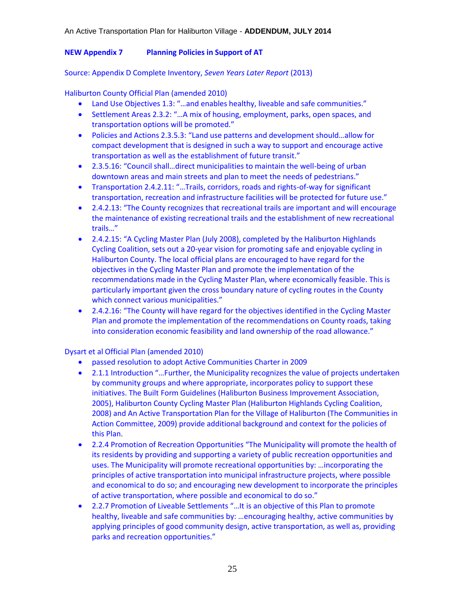#### **NEW Appendix 7 Planning Policies in Support of AT**

#### Source: Appendix D Complete Inventory, *Seven Years Later Report* (2013)

Haliburton County Official Plan (amended 2010)

- Land Use Objectives 1.3: "…and enables healthy, liveable and safe communities."
- Settlement Areas 2.3.2: "…A mix of housing, employment, parks, open spaces, and transportation options will be promoted."
- Policies and Actions 2.3.5.3: "Land use patterns and development should...allow for compact development that is designed in such a way to support and encourage active transportation as well as the establishment of future transit."
- 2.3.5.16: "Council shall…direct municipalities to maintain the well-being of urban downtown areas and main streets and plan to meet the needs of pedestrians."
- Transportation 2.4.2.11: "…Trails, corridors, roads and rights-of-way for significant transportation, recreation and infrastructure facilities will be protected for future use."
- 2.4.2.13: "The County recognizes that recreational trails are important and will encourage the maintenance of existing recreational trails and the establishment of new recreational trails…"
- 2.4.2.15: "A Cycling Master Plan (July 2008), completed by the Haliburton Highlands Cycling Coalition, sets out a 20-year vision for promoting safe and enjoyable cycling in Haliburton County. The local official plans are encouraged to have regard for the objectives in the Cycling Master Plan and promote the implementation of the recommendations made in the Cycling Master Plan, where economically feasible. This is particularly important given the cross boundary nature of cycling routes in the County which connect various municipalities."
- 2.4.2.16: "The County will have regard for the objectives identified in the Cycling Master Plan and promote the implementation of the recommendations on County roads, taking into consideration economic feasibility and land ownership of the road allowance."

Dysart et al Official Plan (amended 2010)

- passed resolution to adopt Active Communities Charter in 2009
- 2.1.1 Introduction "…Further, the Municipality recognizes the value of projects undertaken by community groups and where appropriate, incorporates policy to support these initiatives. The Built Form Guidelines (Haliburton Business Improvement Association, 2005), Haliburton County Cycling Master Plan (Haliburton Highlands Cycling Coalition, 2008) and An Active Transportation Plan for the Village of Haliburton (The Communities in Action Committee, 2009) provide additional background and context for the policies of this Plan.
- 2.2.4 Promotion of Recreation Opportunities "The Municipality will promote the health of its residents by providing and supporting a variety of public recreation opportunities and uses. The Municipality will promote recreational opportunities by: …incorporating the principles of active transportation into municipal infrastructure projects, where possible and economical to do so; and encouraging new development to incorporate the principles of active transportation, where possible and economical to do so."
- 2.2.7 Promotion of Liveable Settlements "…It is an objective of this Plan to promote healthy, liveable and safe communities by: …encouraging healthy, active communities by applying principles of good community design, active transportation, as well as, providing parks and recreation opportunities."